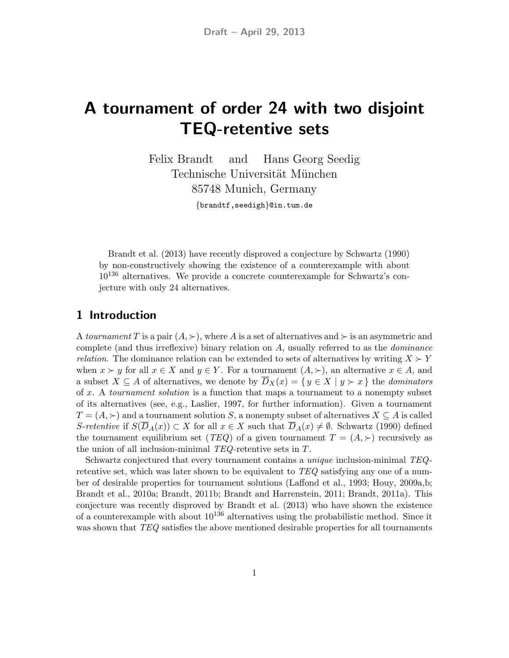## A tournament of order 24 with two disjoint TEQ-retentive sets

Felix Brandt and Hans Georg Seedig Technische Universität München 85748 Munich, Germany {brandtf,seedigh}@in.tum.de

Brandt et al. (2013) have recently disproved a conjecture by Schwartz (1990) by non-constructively showing the existence of a counterexample with about  $10^{136}$  alternatives. We provide a concrete counterexample for Schwartz's conjecture with only 24 alternatives.

## 1 Introduction

A tournament T is a pair  $(A, \succ)$ , where A is a set of alternatives and  $\succ$  is an asymmetric and complete (and thus irreflexive) binary relation on A, usually referred to as the dominance *relation*. The dominance relation can be extended to sets of alternatives by writing  $X \succeq Y$ when  $x \succ y$  for all  $x \in X$  and  $y \in Y$ . For a tournament  $(A, \succ)$ , an alternative  $x \in A$ , and a subset  $X \subseteq A$  of alternatives, we denote by  $\overline{D}_X(x) = \{y \in X \mid y \succ x\}$  the *dominators* of  $x$ . A *tournament solution* is a function that maps a tournament to a nonempty subset of its alternatives (see, e.g., Laslier, 1997, for further information). Given a tournament  $T = (A, \succ)$  and a tournament solution S, a nonempty subset of alternatives  $X \subseteq A$  is called S-retentive if  $S(\overline{D}_A(x)) \subset X$  for all  $x \in X$  such that  $\overline{D}_A(x) \neq \emptyset$ . Schwartz (1990) defined the tournament equilibrium set (TEQ) of a given tournament  $T = (A, \succ)$  recursively as the union of all inclusion-minimal TEQ-retentive sets in T.

Schwartz conjectured that every tournament contains a unique inclusion-minimal TEQretentive set, which was later shown to be equivalent to TEQ satisfying any one of a number of desirable properties for tournament solutions (Laffond et al., 1993; Houy, 2009a,b; Brandt et al., 2010a; Brandt, 2011b; Brandt and Harrenstein, 2011; Brandt, 2011a). This conjecture was recently disproved by Brandt et al. (2013) who have shown the existence of a counterexample with about  $10^{136}$  alternatives using the probabilistic method. Since it was shown that TEQ satisfies the above mentioned desirable properties for all tournaments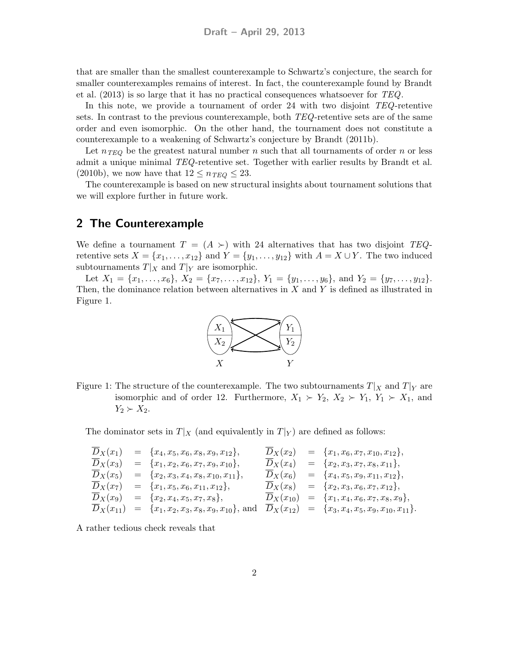that are smaller than the smallest counterexample to Schwartz's conjecture, the search for smaller counterexamples remains of interest. In fact, the counterexample found by Brandt et al.  $(2013)$  is so large that it has no practical consequences whatsoever for  $TEQ$ .

In this note, we provide a tournament of order 24 with two disjoint TEQ-retentive sets. In contrast to the previous counterexample, both TEQ-retentive sets are of the same order and even isomorphic. On the other hand, the tournament does not constitute a counterexample to a weakening of Schwartz's conjecture by Brandt (2011b).

Let  $n_{TEQ}$  be the greatest natural number n such that all tournaments of order n or less admit a unique minimal TEQ-retentive set. Together with earlier results by Brandt et al. (2010b), we now have that  $12 \leq n_{TEQ} \leq 23$ .

The counterexample is based on new structural insights about tournament solutions that we will explore further in future work.

## 2 The Counterexample

We define a tournament  $T = (A \succ)$  with 24 alternatives that has two disjoint TEQretentive sets  $X = \{x_1, \ldots, x_{12}\}\$ and  $Y = \{y_1, \ldots, y_{12}\}\$  with  $A = X \cup Y$ . The two induced subtournaments  $T|_X$  and  $T|_Y$  are isomorphic.

Let  $X_1 = \{x_1, \ldots, x_6\}, X_2 = \{x_7, \ldots, x_{12}\}, Y_1 = \{y_1, \ldots, y_6\}, \text{ and } Y_2 = \{y_7, \ldots, y_{12}\}.$ Then, the dominance relation between alternatives in  $X$  and  $Y$  is defined as illustrated in Figure 1.



Figure 1: The structure of the counterexample. The two subtournaments  $T|_X$  and  $T|_Y$  are isomorphic and of order 12. Furthermore,  $X_1 \succ Y_2$ ,  $X_2 \succ Y_1$ ,  $Y_1 \succ X_1$ , and  $Y_2 \succ X_2$ .

The dominator sets in  $T|_X$  (and equivalently in  $T|_Y$ ) are defined as follows:

$$
\begin{array}{rcl}\n\overline{D}_X(x_1) & = & \{x_4, x_5, x_6, x_8, x_9, x_{12}\}, \\
\overline{D}_X(x_3) & = & \{x_1, x_2, x_6, x_7, x_{9}, x_{10}\}, \\
\overline{D}_X(x_5) & = & \{x_2, x_3, x_4, x_8, x_{10}, x_{11}\}, \\
\overline{D}_X(x_7) & = & \{x_1, x_5, x_6, x_{11}, x_{12}\}, \\
\overline{D}_X(x_9) & = & \{x_2, x_4, x_5, x_7, x_8\}, \\
\overline{D}_X(x_{11}) & = & \{x_1, x_2, x_3, x_8, x_{10}\}, \\
\overline{D}_X(x_{12}) & = & \{x_1, x_4, x_6, x_7, x_{12}\}, \\
\overline{D}_X(x_{11}) & = & \{x_1, x_2, x_3, x_8, x_{9}, x_{10}\}, \\
\text{and} & \overline{D}_X(x_{12}) & = & \{x_3, x_4, x_5, x_9, x_{10}, x_{11}\}.\n\end{array}
$$

A rather tedious check reveals that